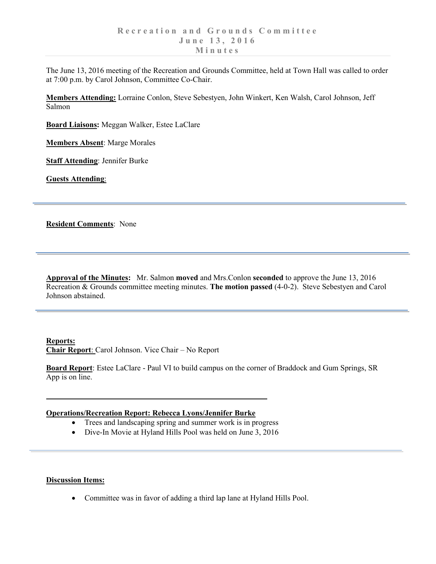The June 13, 2016 meeting of the Recreation and Grounds Committee, held at Town Hall was called to order at 7:00 p.m. by Carol Johnson, Committee Co-Chair.

**Members Attending:** Lorraine Conlon, Steve Sebestyen, John Winkert, Ken Walsh, Carol Johnson, Jeff Salmon

**Board Liaisons:** Meggan Walker, Estee LaClare

**Members Absent**: Marge Morales

**Staff Attending**: Jennifer Burke

**Guests Attending**:

**Resident Comments**: None

**Approval of the Minutes:** Mr. Salmon **moved** and Mrs.Conlon **seconded** to approve the June 13, 2016 Recreation & Grounds committee meeting minutes. **The motion passed** (4-0-2). Steve Sebestyen and Carol Johnson abstained.

**Reports: Chair Report**: Carol Johnson. Vice Chair – No Report

**Board Report**: Estee LaClare - Paul VI to build campus on the corner of Braddock and Gum Springs, SR App is on line.

## **Operations/Recreation Report: Rebecca Lyons/Jennifer Burke**

- Trees and landscaping spring and summer work is in progress
- Dive-In Movie at Hyland Hills Pool was held on June 3, 2016

## **Discussion Items:**

• Committee was in favor of adding a third lap lane at Hyland Hills Pool.